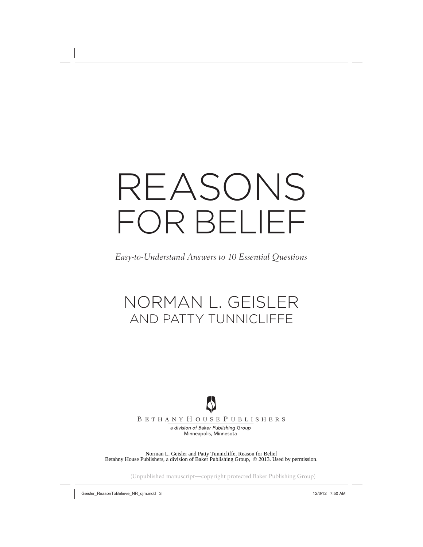# REASONS FOR BELIEF

*Easy-to-Understand Answers to 10 Essential Questions*

# NORMAN L. GEISLER AND PATTY TUNNICLIFFE



B E T H A N Y H O U S E P U B L I S H E R S<br>a division of Baker Publishing Group<br>Minneapolis, Minnesota

Norman L. Geisler and Patty Tunnicliffe, Reason for Belief Betahny House Publishers, a division of Baker Publishing Group, © 2013. Used by permission.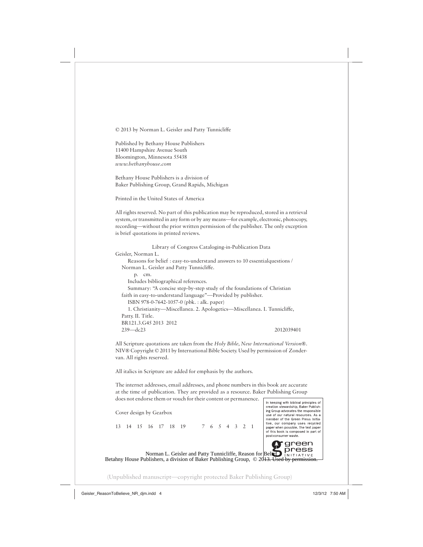© 2013 by Norman L. Geisler and Patty Tunnicliffe

Published by Bethany House Publishers 11400 Hampshire Avenue South Bloomington, Minnesota 55438 *www.bethanyhouse.com*

Bethany House Publishers is a division of Baker Publishing Group, Grand Rapids, Michigan

Printed in the United States of America

All rights reserved. No part of this publication may be reproduced, stored in a retrieval system, or transmitted in any form or by any means—for example, electronic, photocopy, recording—without the prior written permission of the publisher. The only exception is brief quotations in printed reviews.

Library of Congress Cataloging-in-Publication Data Geisler, Norman L. Reasons for belief : easy-to-understand answers to 10 essentialquestions / Norman L. Geisler and Patty Tunnicliffe. p. cm. Includes bibliographical references. Summary: "A concise step-by-step study of the foundations of Christian faith in easy-to-understand language"—Provided by publisher. ISBN 978-0-7642-1057-0 (pbk. : alk. paper) 1. Christianity—Miscellanea. 2. Apologetics—Miscellanea. I. Tunnicliffe, Patty. II. Title. BR121.3.G45 2013 2012 239—dc23 2012039401

All Scripture quotations are taken from the *Holy Bible, New International Version®.*  NIV® Copyright © 2011 by International Bible Society. Used by permission of Zondervan. All rights reserved.

All italics in Scripture are added for emphasis by the authors.

The internet addresses, email addresses, and phone numbers in this book are accurate at the time of publication. They are provided as a resource. Baker Publishing Group does not endorse them or vouch for their content or permanence.

Cover design by Gearbox

13 14 15 16 17 18 19 7 6 5 4 3 2 1

In keeping with biblical principles of creation stewardship. Baker Publishing Group advocates the responsible use of our natural resources. As a member of the Green Press Initiative, our company uses recycled paper when possible. The text paper of this book is composed in part of post-consumer waste.



Betahny House Publishers, a division of Baker Publishing Group, © 2013. Used by permission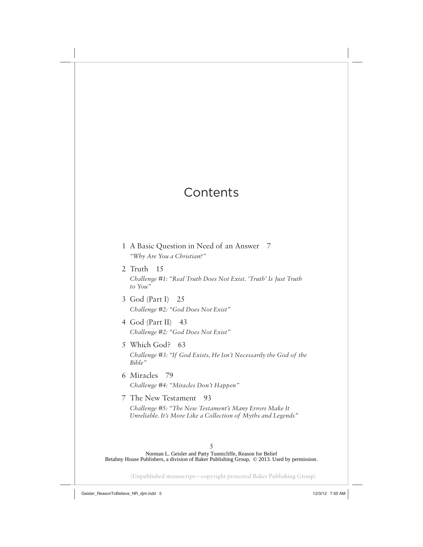# **Contents**

- 1 A Basic Question in Need of an Answer 7  *"Why Are You a Christian?"*
- 2 Truth 15  *Challenge #1: "Real Truth Does Not Exist. 'Truth' Is Just Truth to You"*
- 3 God (Part I) 25  *Challenge #2: "God Does Not Exist"*
- 4 God (Part II) 43  *Challenge #2: "God Does Not Exist"*
- 5 Which God? 63  *Challenge #3: "If God Exists, He Isn't Necessarily the God of the Bible"*
- 6 Miracles 79  *Challenge #4: "Miracles Don't Happen"*
- 7 The New Testament 93  *Challenge #5: "The New Testament's Many Errors Make It Unreliable. It's More Like a Collection of Myths and Legends"*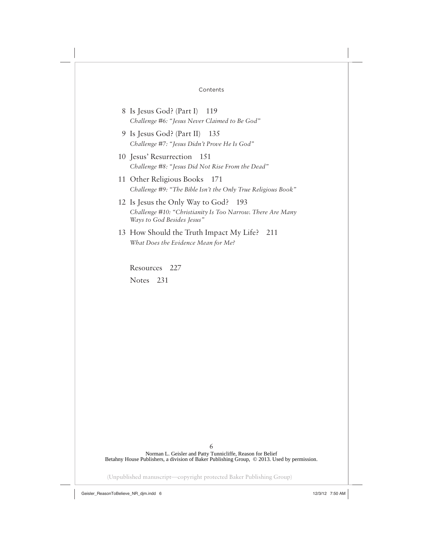#### **Contents**

- 8 Is Jesus God? (Part I) 119  *Challenge #6: "Jesus Never Claimed to Be God"*
- 9 Is Jesus God? (Part II) 135  *Challenge #7: "Jesus Didn't Prove He Is God"*
- 10 Jesus' Resurrection 151  *Challenge #8: "Jesus Did Not Rise From the Dead"*
- 11 Other Religious Books 171  *Challenge #9: "The Bible Isn't the Only True Religious Book"*
- 12 Is Jesus the Only Way to God? 193  *Challenge #10: "Christianity Is Too Narrow. There Are Many Ways to God Besides Jesus"*
- 13 How Should the Truth Impact My Life? 211  *What Does the Evidence Mean for Me?*

 Resources 227 Notes 231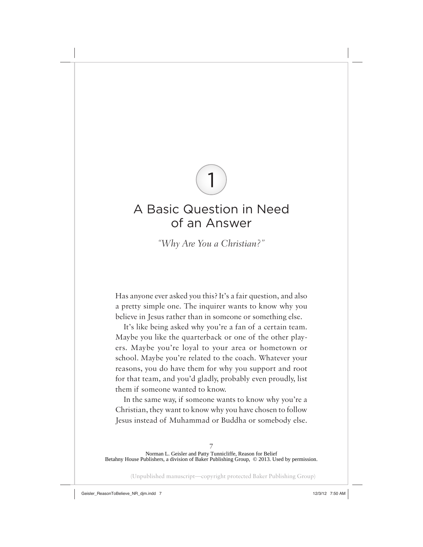1

# A Basic Question in Need of an Answer

*"Why Are You a Christian?"*

Has anyone ever asked you this? It's a fair question, and also a pretty simple one. The inquirer wants to know why you believe in Jesus rather than in someone or something else.

It's like being asked why you're a fan of a certain team. Maybe you like the quarterback or one of the other players. Maybe you're loyal to your area or hometown or school. Maybe you're related to the coach. Whatever your reasons, you do have them for why you support and root for that team, and you'd gladly, probably even proudly, list them if someone wanted to know.

In the same way, if someone wants to know why you're a Christian, they want to know why you have chosen to follow Jesus instead of Muhammad or Buddha or somebody else.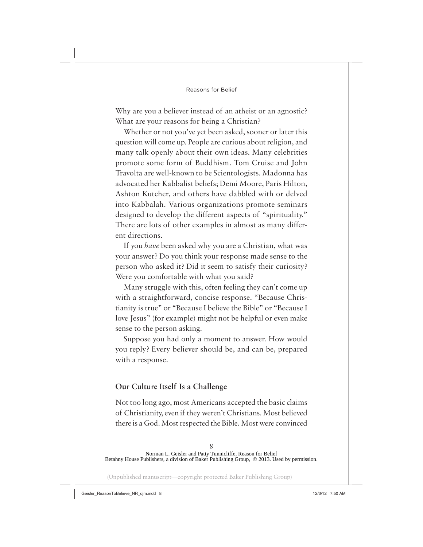Why are you a believer instead of an atheist or an agnostic? What are your reasons for being a Christian?

Whether or not you've yet been asked, sooner or later this question will come up. People are curious about religion, and many talk openly about their own ideas. Many celebrities promote some form of Buddhism. Tom Cruise and John Travolta are well-known to be Scientologists. Madonna has advocated her Kabbalist beliefs; Demi Moore, Paris Hilton, Ashton Kutcher, and others have dabbled with or delved into Kabbalah. Various organizations promote seminars designed to develop the different aspects of "spirituality." There are lots of other examples in almost as many different directions.

If you *have* been asked why you are a Christian, what was your answer? Do you think your response made sense to the person who asked it? Did it seem to satisfy their curiosity? Were you comfortable with what you said?

Many struggle with this, often feeling they can't come up with a straightforward, concise response. "Because Christianity is true" or "Because I believe the Bible" or "Because I love Jesus" (for example) might not be helpful or even make sense to the person asking.

Suppose you had only a moment to answer. How would you reply? Every believer should be, and can be, prepared with a response.

### **Our Culture Itself Is a Challenge**

Not too long ago, most Americans accepted the basic claims of Christianity, even if they weren't Christians. Most believed there is a God. Most respected the Bible. Most were convinced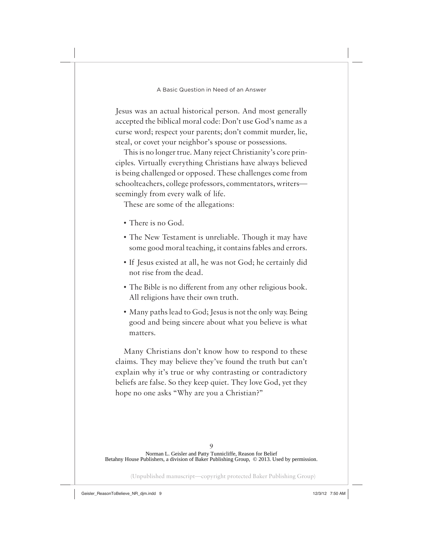Jesus was an actual historical person. And most generally accepted the biblical moral code: Don't use God's name as a curse word; respect your parents; don't commit murder, lie, steal, or covet your neighbor's spouse or possessions.

This is no longer true. Many reject Christianity's core principles. Virtually everything Christians have always believed is being challenged or opposed. These challenges come from schoolteachers, college professors, commentators, writers seemingly from every walk of life.

These are some of the allegations:

- There is no God.
- The New Testament is unreliable. Though it may have some good moral teaching, it contains fables and errors.
- If Jesus existed at all, he was not God; he certainly did not rise from the dead.
- The Bible is no different from any other religious book. All religions have their own truth.
- Many paths lead to God; Jesus is not the only way. Being good and being sincere about what you believe is what matters.

Many Christians don't know how to respond to these claims. They may believe they've found the truth but can't explain why it's true or why contrasting or contradictory beliefs are false. So they keep quiet. They love God, yet they hope no one asks "Why are you a Christian?"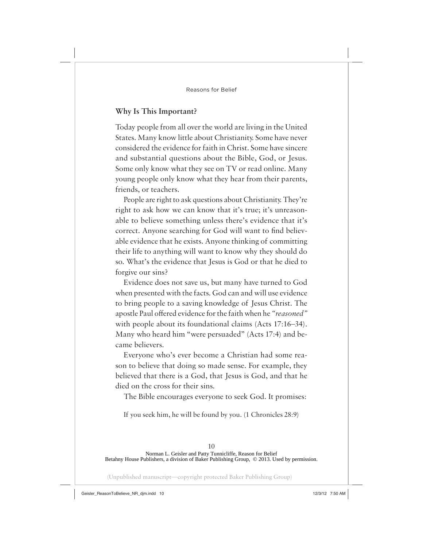#### **Why Is This Important?**

Today people from all over the world are living in the United States. Many know little about Christianity. Some have never considered the evidence for faith in Christ. Some have sincere and substantial questions about the Bible, God, or Jesus. Some only know what they see on TV or read online. Many young people only know what they hear from their parents, friends, or teachers.

People are right to ask questions about Christianity. They're right to ask how we can know that it's true; it's unreasonable to believe something unless there's evidence that it's correct. Anyone searching for God will want to find believable evidence that he exists. Anyone thinking of committing their life to anything will want to know why they should do so. What's the evidence that Jesus is God or that he died to forgive our sins?

Evidence does not save us, but many have turned to God when presented with the facts. God can and will use evidence to bring people to a saving knowledge of Jesus Christ. The apostle Paul offered evidence for the faith when he *"reasoned"* with people about its foundational claims (Acts 17:16–34). Many who heard him "were persuaded" (Acts 17:4) and became believers.

Everyone who's ever become a Christian had some reason to believe that doing so made sense. For example, they believed that there is a God, that Jesus is God, and that he died on the cross for their sins.

The Bible encourages everyone to seek God. It promises:

If you seek him, he will be found by you. (1 Chronicles 28:9)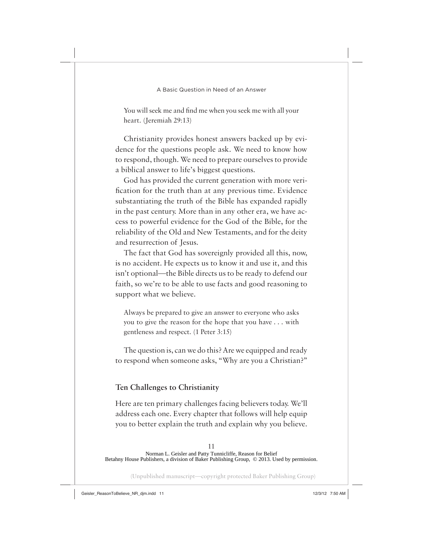You will seek me and find me when you seek me with all your heart. (Jeremiah 29:13)

Christianity provides honest answers backed up by evidence for the questions people ask. We need to know how to respond, though. We need to prepare ourselves to provide a biblical answer to life's biggest questions.

God has provided the current generation with more verification for the truth than at any previous time. Evidence substantiating the truth of the Bible has expanded rapidly in the past century. More than in any other era, we have access to powerful evidence for the God of the Bible, for the reliability of the Old and New Testaments, and for the deity and resurrection of Jesus.

The fact that God has sovereignly provided all this, now, is no accident. He expects us to know it and use it, and this isn't optional—the Bible directs us to be ready to defend our faith, so we're to be able to use facts and good reasoning to support what we believe.

Always be prepared to give an answer to everyone who asks you to give the reason for the hope that you have . . . with gentleness and respect. (1 Peter 3:15)

The question is, can we do this? Are we equipped and ready to respond when someone asks, "Why are you a Christian?"

#### **Ten Challenges to Christianity**

Here are ten primary challenges facing believers today. We'll address each one. Every chapter that follows will help equip you to better explain the truth and explain why you believe.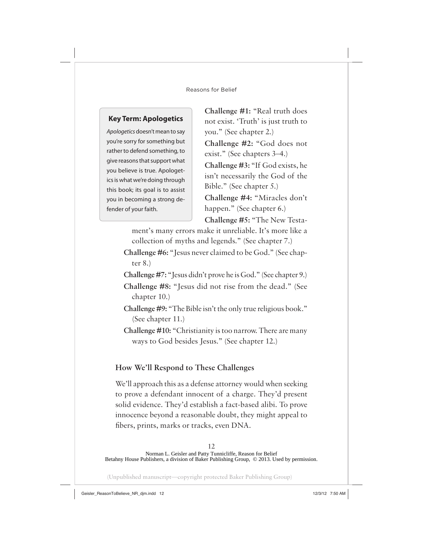#### **Key Term: Apologetics**

Apologetics doesn't mean to say you're sorry for something but rather to defend something, to give reasons that support what you believe is true. Apologetics is what we're doing through this book; its goal is to assist you in becoming a strong defender of your faith.

**Challenge #1:** "Real truth does not exist. 'Truth' is just truth to you." (See chapter 2.)

**Challenge #2:** "God does not exist." (See chapters 3–4.)

**Challenge #3:** "If God exists, he isn't necessarily the God of the Bible." (See chapter 5.)

**Challenge #4:** "Miracles don't happen." (See chapter 6.)

**Challenge #5:** "The New Testa-

ment's many errors make it unreliable. It's more like a collection of myths and legends." (See chapter 7.)

- **Challenge #6:** "Jesus never claimed to be God." (See chapter 8.)
- **Challenge #7:** "Jesus didn't prove he is God." (See chapter 9.)
- **Challenge #8:** "Jesus did not rise from the dead." (See chapter 10.)
- **Challenge #9:** "The Bible isn't the only true religious book." (See chapter 11.)
- **Challenge #10:** "Christianity is too narrow. There are many ways to God besides Jesus." (See chapter 12.)

### **How We'll Respond to These Challenges**

We'll approach this as a defense attorney would when seeking to prove a defendant innocent of a charge. They'd present solid evidence. They'd establish a fact-based alibi. To prove innocence beyond a reasonable doubt, they might appeal to fibers, prints, marks or tracks, even DNA.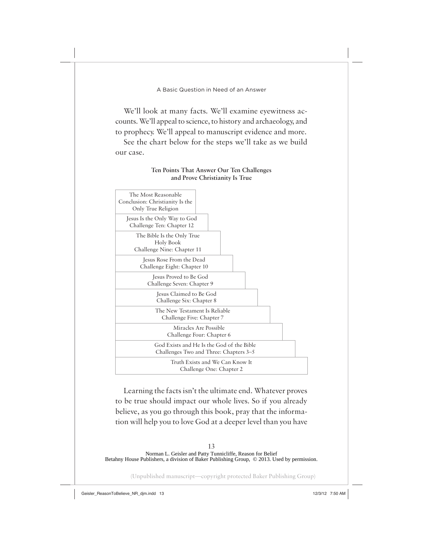We'll look at many facts. We'll examine eyewitness accounts. We'll appeal to science, to history and archaeology, and to prophecy. We'll appeal to manuscript evidence and more.

See the chart below for the steps we'll take as we build our case.

#### **Ten Points That Answer Our Ten Challenges and Prove Christianity Is True**



Learning the facts isn't the ultimate end. Whatever proves to be true should impact our whole lives. So if you already believe, as you go through this book, pray that the information will help you to love God at a deeper level than you have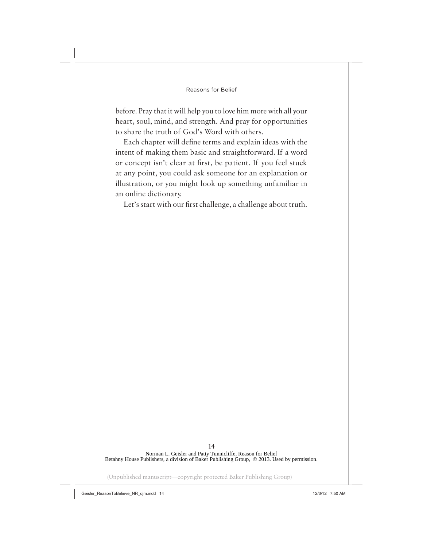before. Pray that it will help you to love him more with all your heart, soul, mind, and strength. And pray for opportunities to share the truth of God's Word with others.

Each chapter will define terms and explain ideas with the intent of making them basic and straightforward. If a word or concept isn't clear at first, be patient. If you feel stuck at any point, you could ask someone for an explanation or illustration, or you might look up something unfamiliar in an online dictionary.

Let's start with our first challenge, a challenge about truth.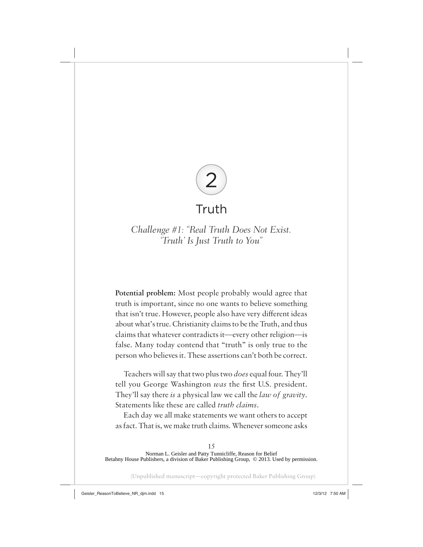

*Challenge #1: "Real Truth Does Not Exist. 'Truth' Is Just Truth to You"*

**Potential problem:** Most people probably would agree that truth is important, since no one wants to believe something that isn't true. However, people also have very different ideas about what's true. Christianity claims to be the Truth, and thus claims that whatever contradicts it—every other religion—is false. Many today contend that "truth" is only true to the person who believes it. These assertions can't both be correct.

Teachers will say that two plus two *does* equal four. They'll tell you George Washington *was* the first U.S. president. They'll say there *is* a physical law we call the *law of gravity*. Statements like these are called *truth claims*.

Each day we all make statements we want others to accept as fact. That is, we make truth claims. Whenever someone asks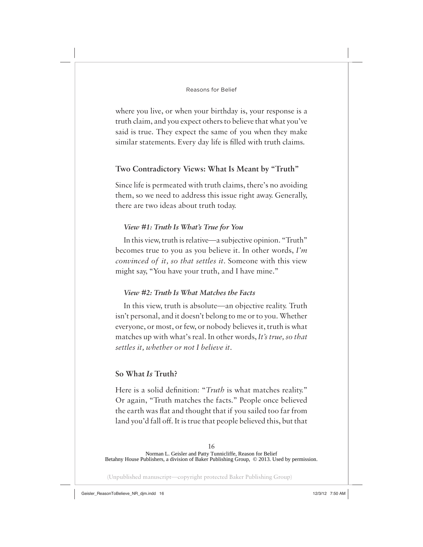where you live, or when your birthday is, your response is a truth claim, and you expect others to believe that what you've said is true. They expect the same of you when they make similar statements. Every day life is filled with truth claims.

#### **Two Contradictory Views: What Is Meant by "Truth"**

Since life is permeated with truth claims, there's no avoiding them, so we need to address this issue right away. Generally, there are two ideas about truth today.

#### *View #1: Truth Is What's True for You*

In this view, truth is relative—a subjective opinion. "Truth" becomes true to you as you believe it. In other words, *I'm convinced of it, so that settles it.* Someone with this view might say, "You have your truth, and I have mine."

#### *View #2: Truth Is What Matches the Facts*

In this view, truth is absolute—an objective reality. Truth isn't personal, and it doesn't belong to me or to you. Whether everyone, or most, or few, or nobody believes it, truth is what matches up with what's real. In other words, *It's true, so that settles it, whether or not I believe it.*

### **So What** *Is* **Truth?**

Here is a solid definition: "*Truth* is what matches reality." Or again, "Truth matches the facts." People once believed the earth was flat and thought that if you sailed too far from land you'd fall off. It is true that people believed this, but that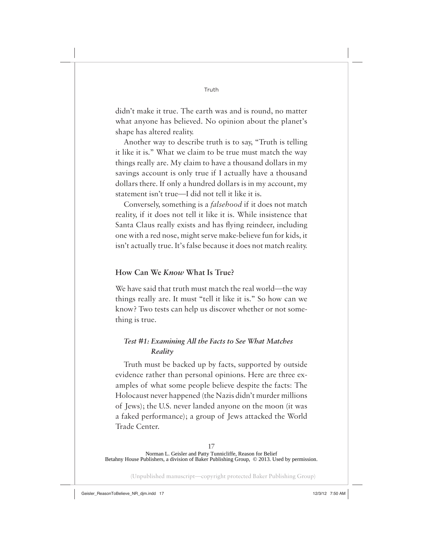didn't make it true. The earth was and is round, no matter what anyone has believed. No opinion about the planet's shape has altered reality.

Another way to describe truth is to say, "Truth is telling it like it is." What we claim to be true must match the way things really are. My claim to have a thousand dollars in my savings account is only true if I actually have a thousand dollars there. If only a hundred dollars is in my account, my statement isn't true—I did not tell it like it is.

Conversely, something is a *falsehood* if it does not match reality, if it does not tell it like it is. While insistence that Santa Claus really exists and has flying reindeer, including one with a red nose, might serve make-believe fun for kids, it isn't actually true. It's false because it does not match reality.

#### **How Can We** *Know* **What Is True?**

We have said that truth must match the real world—the way things really are. It must "tell it like it is." So how can we know? Two tests can help us discover whether or not something is true.

# *Test #1: Examining All the Facts to See What Matches Reality*

Truth must be backed up by facts, supported by outside evidence rather than personal opinions. Here are three examples of what some people believe despite the facts: The Holocaust never happened (the Nazis didn't murder millions of Jews); the U.S. never landed anyone on the moon (it was a faked performance); a group of Jews attacked the World Trade Center.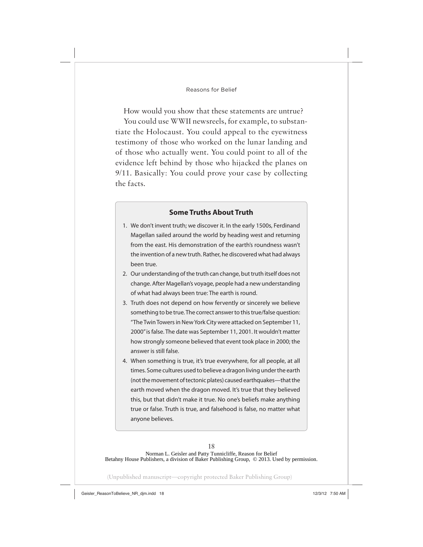How would you show that these statements are untrue?

You could use WWII newsreels, for example, to substantiate the Holocaust. You could appeal to the eyewitness testimony of those who worked on the lunar landing and of those who actually went. You could point to all of the evidence left behind by those who hijacked the planes on 9/11. Basically: You could prove your case by collecting the facts.

#### **Some Truths About Truth**

- 1. We don't invent truth; we discover it. In the early 1500s, Ferdinand Magellan sailed around the world by heading west and returning from the east. His demonstration of the earth's roundness wasn't the invention of a new truth. Rather, he discovered what had always been true.
- 2. Our understanding of the truth can change, but truth itself does not change. After Magellan's voyage, people had a new understanding of what had always been true: The earth is round.
- 3. Truth does not depend on how fervently or sincerely we believe something to be true. The correct answer to this true/false question: "The Twin Towers in New York City were attacked on September 11, 2000" is false. The date was September 11, 2001. It wouldn't matter how strongly someone believed that event took place in 2000; the answer is still false.
- 4. When something is true, it's true everywhere, for all people, at all times. Some cultures used to believe a dragon living under the earth (not the movement of tectonic plates) caused earthquakes—that the earth moved when the dragon moved. It's true that they believed this, but that didn't make it true. No one's beliefs make anything true or false. Truth is true, and falsehood is false, no matter what anyone believes.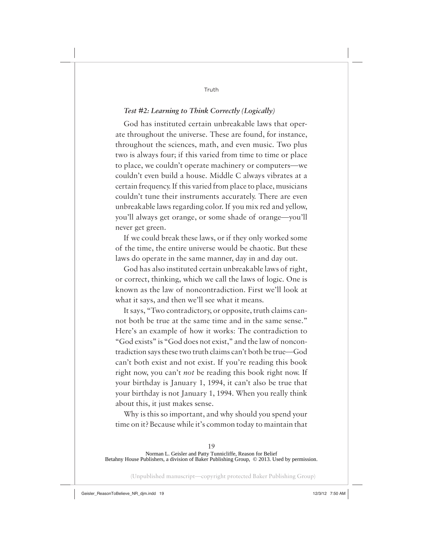#### *Test #2: Learning to Think Correctly (Logically)*

God has instituted certain unbreakable laws that operate throughout the universe. These are found, for instance, throughout the sciences, math, and even music. Two plus two is always four; if this varied from time to time or place to place, we couldn't operate machinery or computers—we couldn't even build a house. Middle C always vibrates at a certain frequency. If this varied from place to place, musicians couldn't tune their instruments accurately. There are even unbreakable laws regarding color. If you mix red and yellow, you'll always get orange, or some shade of orange—you'll never get green.

If we could break these laws, or if they only worked some of the time, the entire universe would be chaotic. But these laws do operate in the same manner, day in and day out.

God has also instituted certain unbreakable laws of right, or correct, thinking, which we call the laws of logic. One is known as the law of noncontradiction. First we'll look at what it says, and then we'll see what it means.

It says, "Two contradictory, or opposite, truth claims cannot both be true at the same time and in the same sense." Here's an example of how it works: The contradiction to "God exists" is "God does not exist," and the law of noncontradiction says these two truth claims can't both be true—God can't both exist and not exist. If you're reading this book right now, you can't *not* be reading this book right now. If your birthday is January 1, 1994, it can't also be true that your birthday is not January 1, 1994. When you really think about this, it just makes sense.

Why is this so important, and why should you spend your time on it? Because while it's common today to maintain that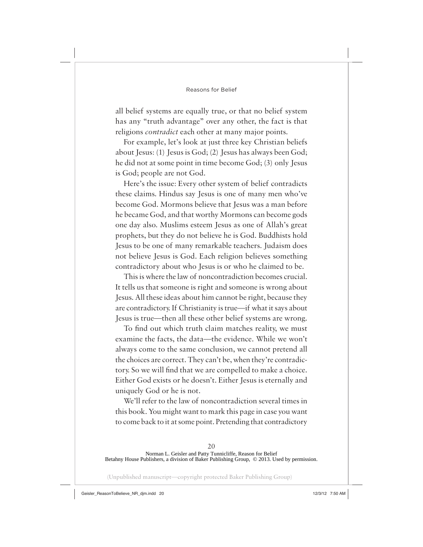all belief systems are equally true, or that no belief system has any "truth advantage" over any other, the fact is that religions *contradict* each other at many major points.

For example, let's look at just three key Christian beliefs about Jesus: (1) Jesus is God; (2) Jesus has always been God; he did not at some point in time become God; (3) only Jesus is God; people are not God.

Here's the issue: Every other system of belief contradicts these claims. Hindus say Jesus is one of many men who've become God. Mormons believe that Jesus was a man before he became God, and that worthy Mormons can become gods one day also. Muslims esteem Jesus as one of Allah's great prophets, but they do not believe he is God. Buddhists hold Jesus to be one of many remarkable teachers. Judaism does not believe Jesus is God. Each religion believes something contradictory about who Jesus is or who he claimed to be.

This is where the law of noncontradiction becomes crucial. It tells us that someone is right and someone is wrong about Jesus. All these ideas about him cannot be right, because they are contradictory. If Christianity is true—if what it says about Jesus is true—then all these other belief systems are wrong.

To find out which truth claim matches reality, we must examine the facts, the data—the evidence. While we won't always come to the same conclusion, we cannot pretend all the choices are correct. They can't be, when they're contradictory. So we will find that we are compelled to make a choice. Either God exists or he doesn't. Either Jesus is eternally and uniquely God or he is not.

We'll refer to the law of noncontradiction several times in this book. You might want to mark this page in case you want to come back to it at some point. Pretending that contradictory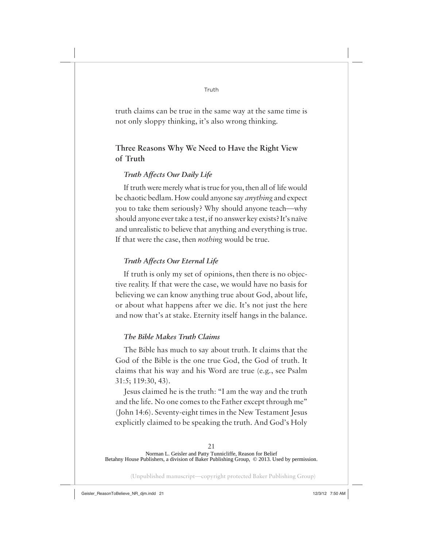truth claims can be true in the same way at the same time is not only sloppy thinking, it's also wrong thinking.

## **Three Reasons Why We Need to Have the Right View of Truth**

#### *Truth Affects Our Daily Life*

If truth were merely what is true for you, then all of life would be chaotic bedlam. How could anyone say *anything* and expect you to take them seriously? Why should anyone teach—why should anyone ever take a test, if no answer key exists? It's naïve and unrealistic to believe that anything and everything is true. If that were the case, then *nothing* would be true.

#### *Truth Affects Our Eternal Life*

If truth is only my set of opinions, then there is no objective reality. If that were the case, we would have no basis for believing we can know anything true about God, about life, or about what happens after we die. It's not just the here and now that's at stake. Eternity itself hangs in the balance.

#### *The Bible Makes Truth Claims*

The Bible has much to say about truth. It claims that the God of the Bible is the one true God, the God of truth. It claims that his way and his Word are true (e.g., see Psalm 31:5; 119:30, 43).

Jesus claimed he is the truth: "I am the way and the truth and the life. No one comes to the Father except through me" (John 14:6). Seventy-eight times in the New Testament Jesus explicitly claimed to be speaking the truth. And God's Holy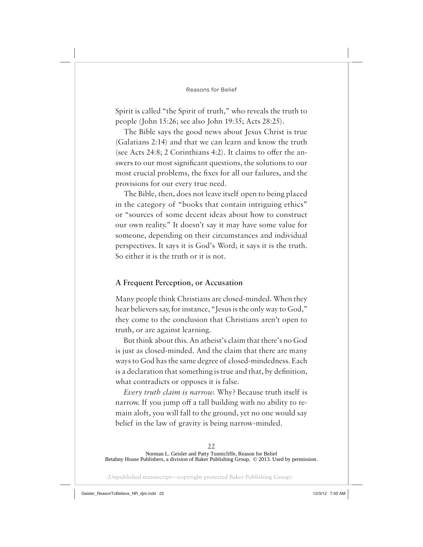Spirit is called "the Spirit of truth," who reveals the truth to people (John 15:26; see also John 19:35; Acts 28:25).

The Bible says the good news about Jesus Christ is true (Galatians 2:14) and that we can learn and know the truth (see Acts 24:8; 2 Corinthians 4:2). It claims to offer the answers to our most significant questions, the solutions to our most crucial problems, the fixes for all our failures, and the provisions for our every true need.

The Bible, then, does not leave itself open to being placed in the category of "books that contain intriguing ethics" or "sources of some decent ideas about how to construct our own reality." It doesn't say it may have some value for someone, depending on their circumstances and individual perspectives. It says it is God's Word; it says it is the truth. So either it is the truth or it is not.

#### **A Frequent Perception, or Accusation**

Many people think Christians are closed-minded. When they hear believers say, for instance, "Jesus is the only way to God," they come to the conclusion that Christians aren't open to truth, or are against learning.

But think about this. An atheist's claim that there's no God is just as closed-minded. And the claim that there are many ways to God has the same degree of closed-mindedness. Each is a declaration that something is true and that, by definition, what contradicts or opposes it is false.

*Every truth claim is narrow.* Why? Because truth itself is narrow. If you jump off a tall building with no ability to remain aloft, you will fall to the ground, yet no one would say belief in the law of gravity is being narrow-minded.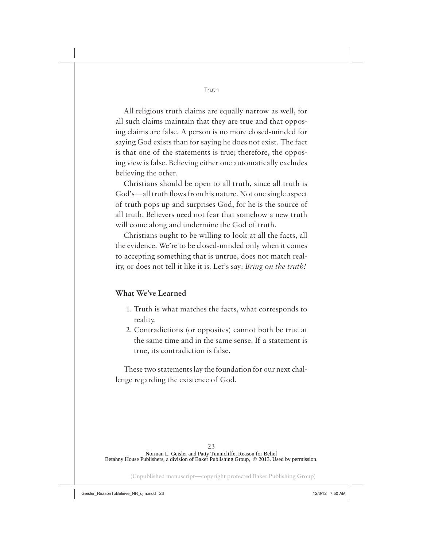All religious truth claims are equally narrow as well, for all such claims maintain that they are true and that opposing claims are false. A person is no more closed-minded for saying God exists than for saying he does not exist. The fact is that one of the statements is true; therefore, the opposing view is false. Believing either one automatically excludes believing the other.

Christians should be open to all truth, since all truth is God's—all truth flows from his nature. Not one single aspect of truth pops up and surprises God, for he is the source of all truth. Believers need not fear that somehow a new truth will come along and undermine the God of truth.

Christians ought to be willing to look at all the facts, all the evidence. We're to be closed-minded only when it comes to accepting something that is untrue, does not match reality, or does not tell it like it is. Let's say: *Bring on the truth!*

#### **What We've Learned**

- 1. Truth is what matches the facts, what corresponds to reality.
- 2. Contradictions (or opposites) cannot both be true at the same time and in the same sense. If a statement is true, its contradiction is false.

These two statements lay the foundation for our next challenge regarding the existence of God.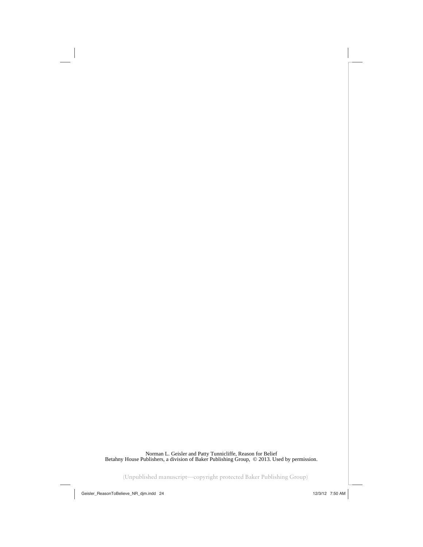Norman L. Geisler and Patty Tunnicliffe, Reason for Belief Betahny House Publishers, a division of Baker Publishing Group, © 2013. Used by permission.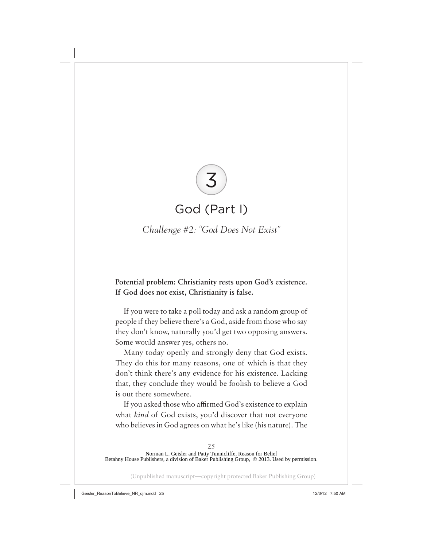

# *Challenge #2: "God Does Not Exist"*

#### **Potential problem: Christianity rests upon God's existence. If God does not exist, Christianity is false.**

If you were to take a poll today and ask a random group of people if they believe there's a God, aside from those who say they don't know, naturally you'd get two opposing answers. Some would answer yes, others no.

Many today openly and strongly deny that God exists. They do this for many reasons, one of which is that they don't think there's any evidence for his existence. Lacking that, they conclude they would be foolish to believe a God is out there somewhere.

If you asked those who affirmed God's existence to explain what *kind* of God exists, you'd discover that not everyone who believes in God agrees on what he's like (his nature). The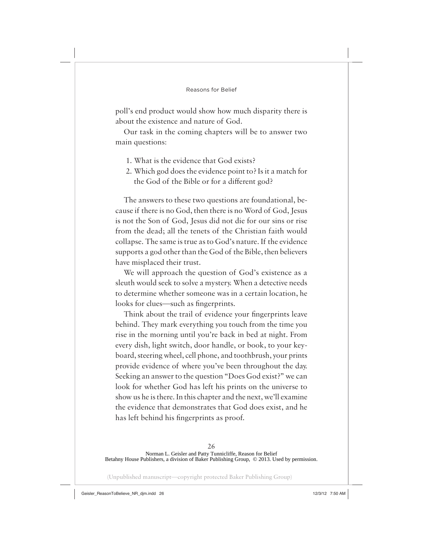poll's end product would show how much disparity there is about the existence and nature of God.

Our task in the coming chapters will be to answer two main questions:

- 1. What is the evidence that God exists?
- 2. Which god does the evidence point to? Is it a match for the God of the Bible or for a different god?

The answers to these two questions are foundational, because if there is no God, then there is no Word of God, Jesus is not the Son of God, Jesus did not die for our sins or rise from the dead; all the tenets of the Christian faith would collapse. The same is true as to God's nature. If the evidence supports a god other than the God of the Bible, then believers have misplaced their trust.

We will approach the question of God's existence as a sleuth would seek to solve a mystery. When a detective needs to determine whether someone was in a certain location, he looks for clues—such as fingerprints.

Think about the trail of evidence your fingerprints leave behind. They mark everything you touch from the time you rise in the morning until you're back in bed at night. From every dish, light switch, door handle, or book, to your keyboard, steering wheel, cell phone, and toothbrush, your prints provide evidence of where you've been throughout the day. Seeking an answer to the question "Does God exist?" we can look for whether God has left his prints on the universe to show us he is there. In this chapter and the next, we'll examine the evidence that demonstrates that God does exist, and he has left behind his fingerprints as proof.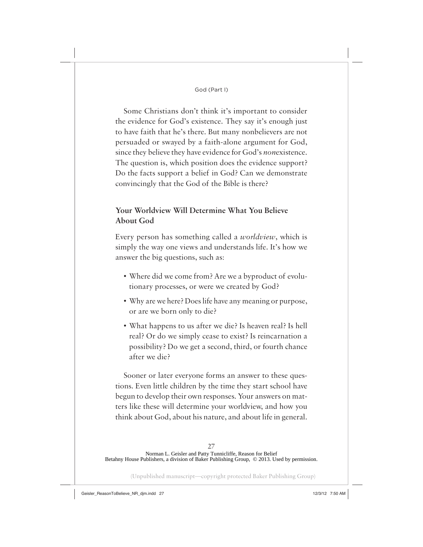#### God (Part I)

Some Christians don't think it's important to consider the evidence for God's existence. They say it's enough just to have faith that he's there. But many nonbelievers are not persuaded or swayed by a faith-alone argument for God, since they believe they have evidence for God's *non*existence. The question is, which position does the evidence support? Do the facts support a belief in God? Can we demonstrate convincingly that the God of the Bible is there?

## **Your Worldview Will Determine What You Believe About God**

Every person has something called a *worldview*, which is simply the way one views and understands life. It's how we answer the big questions, such as:

- Where did we come from? Are we a byproduct of evolutionary processes, or were we created by God?
- Why are we here? Does life have any meaning or purpose, or are we born only to die?
- What happens to us after we die? Is heaven real? Is hell real? Or do we simply cease to exist? Is reincarnation a possibility? Do we get a second, third, or fourth chance after we die?

Sooner or later everyone forms an answer to these questions. Even little children by the time they start school have begun to develop their own responses. Your answers on matters like these will determine your worldview, and how you think about God, about his nature, and about life in general.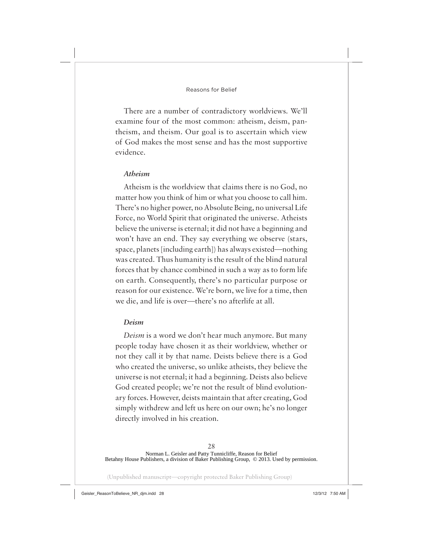There are a number of contradictory worldviews. We'll examine four of the most common: atheism, deism, pantheism, and theism. Our goal is to ascertain which view of God makes the most sense and has the most supportive evidence.

#### *Atheism*

Atheism is the worldview that claims there is no God, no matter how you think of him or what you choose to call him. There's no higher power, no Absolute Being, no universal Life Force, no World Spirit that originated the universe. Atheists believe the universe is eternal; it did not have a beginning and won't have an end. They say everything we observe (stars, space, planets [including earth]) has always existed—nothing was created. Thus humanity is the result of the blind natural forces that by chance combined in such a way as to form life on earth. Consequently, there's no particular purpose or reason for our existence. We're born, we live for a time, then we die, and life is over—there's no afterlife at all.

#### *Deism*

*Deism* is a word we don't hear much anymore. But many people today have chosen it as their worldview, whether or not they call it by that name. Deists believe there is a God who created the universe, so unlike atheists, they believe the universe is not eternal; it had a beginning. Deists also believe God created people; we're not the result of blind evolutionary forces. However, deists maintain that after creating, God simply withdrew and left us here on our own; he's no longer directly involved in his creation.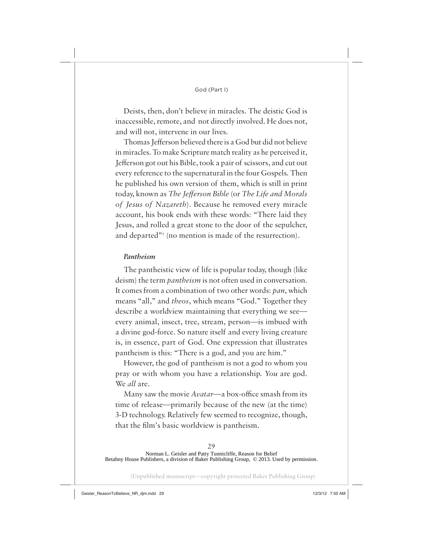#### God (Part I)

Deists, then, don't believe in miracles. The deistic God is inaccessible, remote, and not directly involved. He does not, and will not, intervene in our lives.

Thomas Jefferson believed there is a God but did not believe in miracles. To make Scripture match reality as he perceived it, Jefferson got out his Bible, took a pair of scissors, and cut out every reference to the supernatural in the four Gospels. Then he published his own version of them, which is still in print today, known as *The Jefferson Bible* (or *The Life and Morals of Jesus of Nazareth*)*.* Because he removed every miracle account, his book ends with these words: "There laid they Jesus, and rolled a great stone to the door of the sepulcher, and departed"1 (no mention is made of the resurrection).

#### *Pantheism*

The pantheistic view of life is popular today, though (like deism) the term *pantheism* is not often used in conversation. It comes from a combination of two other words: *pan*, which means "all," and *theos*, which means "God." Together they describe a worldview maintaining that everything we see every animal, insect, tree, stream, person—is imbued with a divine god-force. So nature itself and every living creature is, in essence, part of God. One expression that illustrates pantheism is this: "There is a god, and you are him."

However, the god of pantheism is not a god to whom you pray or with whom you have a relationship. *You* are god. We *all* are.

Many saw the movie *Avatar*—a box-office smash from its time of release—primarily because of the new (at the time) 3-D technology. Relatively few seemed to recognize, though, that the film's basic worldview is pantheism.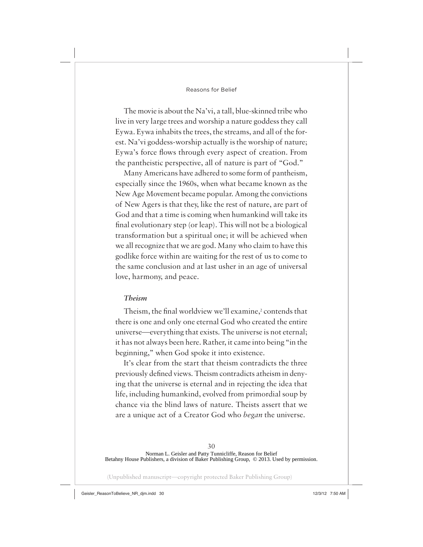The movie is about the Na'vi, a tall, blue-skinned tribe who live in very large trees and worship a nature goddess they call Eywa. Eywa inhabits the trees, the streams, and all of the forest. Na'vi goddess-worship actually is the worship of nature; Eywa's force flows through every aspect of creation. From the pantheistic perspective, all of nature is part of "God."

Many Americans have adhered to some form of pantheism, especially since the 1960s, when what became known as the New Age Movement became popular. Among the convictions of New Agers is that they, like the rest of nature, are part of God and that a time is coming when humankind will take its final evolutionary step (or leap). This will not be a biological transformation but a spiritual one; it will be achieved when we all recognize that we are god. Many who claim to have this godlike force within are waiting for the rest of us to come to the same conclusion and at last usher in an age of universal love, harmony, and peace.

#### *Theism*

Theism, the final worldview we'll examine,<sup>2</sup> contends that there is one and only one eternal God who created the entire universe—everything that exists. The universe is not eternal; it has not always been here. Rather, it came into being "in the beginning," when God spoke it into existence.

It's clear from the start that theism contradicts the three previously defined views. Theism contradicts atheism in denying that the universe is eternal and in rejecting the idea that life, including humankind, evolved from primordial soup by chance via the blind laws of nature. Theists assert that we are a unique act of a Creator God who *began* the universe.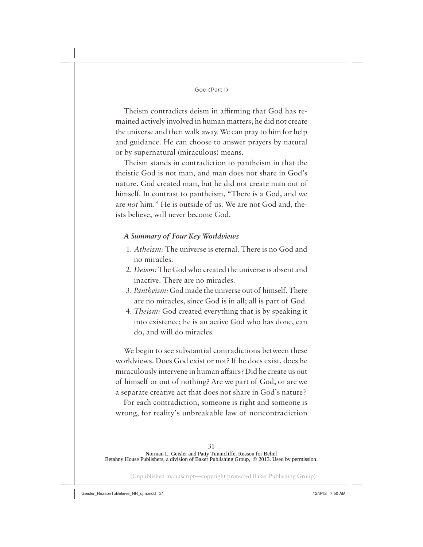#### God (Part I)

Theism contradicts deism in affirming that God has remained actively involved in human matters; he did not create the universe and then walk away. We can pray to him for help and guidance. He can choose to answer prayers by natural or by supernatural (miraculous) means.

Theism stands in contradiction to pantheism in that the theistic God is not man, and man does not share in God's nature. God created man, but he did not create man out of himself. In contrast to pantheism, "There is a God, and we are *not* him." He is outside of us. We are not God and, theists believe, will never become God.

#### *A Summary of Four Key Worldviews*

- 1. *Atheism:* The universe is eternal. There is no God and no miracles.
- 2. *Deism:* The God who created the universe is absent and inactive. There are no miracles.
- 3. *Pantheism:* God made the universe out of himself. There are no miracles, since God is in all; all is part of God.
- 4. *Theism:* God created everything that is by speaking it into existence; he is an active God who has done, can do, and will do miracles.

We begin to see substantial contradictions between these worldviews. Does God exist or not? If he does exist, does he miraculously intervene in human affairs? Did he create us out of himself or out of nothing? Are we part of God, or are we a separate creative act that does not share in God's nature?

For each contradiction, someone is right and someone is wrong, for reality's unbreakable law of noncontradiction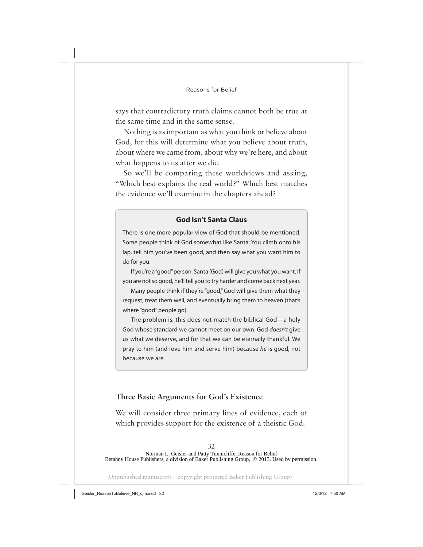says that contradictory truth claims cannot both be true at the same time and in the same sense.

Nothing is as important as what you think or believe about God, for this will determine what you believe about truth, about where we came from, about why we're here, and about what happens to us after we die.

So we'll be comparing these worldviews and asking, "Which best explains the real world?" Which best matches the evidence we'll examine in the chapters ahead?

#### **God Isn't Santa Claus**

There is one more popular view of God that should be mentioned. Some people think of God somewhat like Santa: You climb onto his lap, tell him you've been good, and then say what you want him to do for you.

If you're a "good" person, Santa (God) will give you what you want. If you are not so good, he'll tell you to try harder and come back next year.

Many people think if they're "good," God will give them what they request, treat them well, and eventually bring them to heaven (that's where "good" people go).

The problem is, this does not match the biblical God—a holy God whose standard we cannot meet on our own. God doesn't give us what we deserve, and for that we can be eternally thankful. We pray to him (and love him and serve him) because he is good, not because we are.

#### **Three Basic Arguments for God's Existence**

We will consider three primary lines of evidence, each of which provides support for the existence of a theistic God.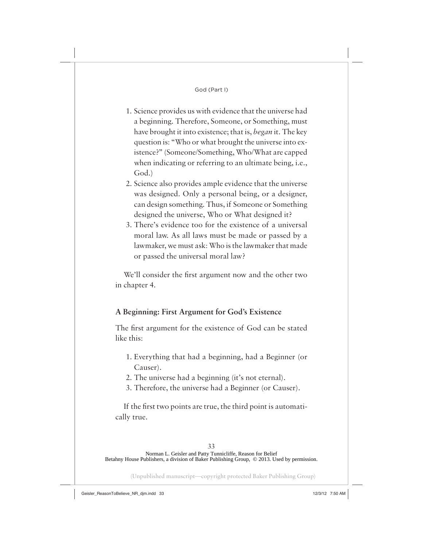- 1. Science provides us with evidence that the universe had a beginning. Therefore, Someone, or Something, must have brought it into existence; that is, *began* it. The key question is: "Who or what brought the universe into existence?" (Someone/Something, Who/What are capped when indicating or referring to an ultimate being, i.e., God.)
- 2. Science also provides ample evidence that the universe was designed. Only a personal being, or a designer, can design something. Thus, if Someone or Something designed the universe, Who or What designed it?
- 3. There's evidence too for the existence of a universal moral law. As all laws must be made or passed by a lawmaker, we must ask: Who is the lawmaker that made or passed the universal moral law?

We'll consider the first argument now and the other two in chapter 4.

### **A Beginning: First Argument for God's Existence**

The first argument for the existence of God can be stated like this:

- 1. Everything that had a beginning, had a Beginner (or Causer).
- 2. The universe had a beginning (it's not eternal).
- 3. Therefore, the universe had a Beginner (or Causer).

If the first two points are true, the third point is automatically true.